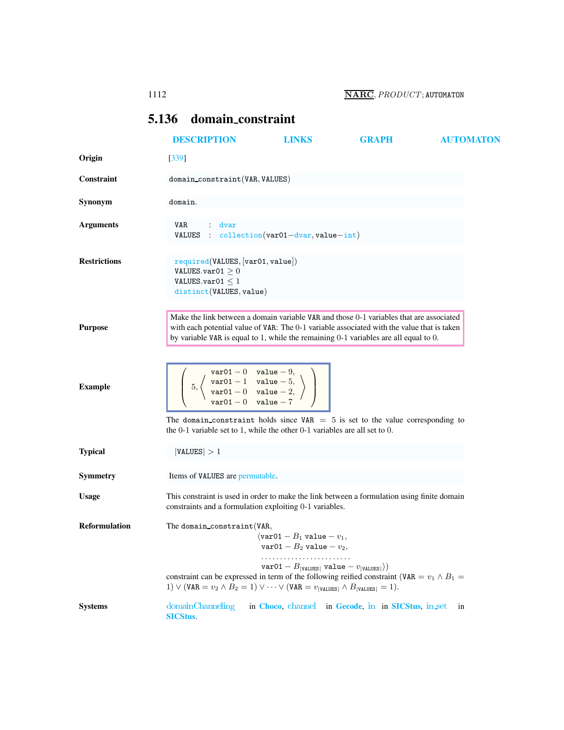## <span id="page-0-0"></span>5.136 domain constraint

|                      | <b>DESCRIPTION</b>                                                                                                                                                                                                                                                            | LINKS                                                                                                                                                  | <b>GRAPH</b>                                       | <b>AUTOMATON</b> |  |  |  |
|----------------------|-------------------------------------------------------------------------------------------------------------------------------------------------------------------------------------------------------------------------------------------------------------------------------|--------------------------------------------------------------------------------------------------------------------------------------------------------|----------------------------------------------------|------------------|--|--|--|
| Origin               | $[339]$                                                                                                                                                                                                                                                                       |                                                                                                                                                        |                                                    |                  |  |  |  |
| <b>Constraint</b>    |                                                                                                                                                                                                                                                                               | domain_constraint(VAR, VALUES)                                                                                                                         |                                                    |                  |  |  |  |
| Synonym              | domain.                                                                                                                                                                                                                                                                       |                                                                                                                                                        |                                                    |                  |  |  |  |
| <b>Arguments</b>     | VAR.<br>: dvar<br>VALUES : $\text{collection}(var01-\text{dvar},value-\text{int})$                                                                                                                                                                                            |                                                                                                                                                        |                                                    |                  |  |  |  |
| <b>Restrictions</b>  | required(VALUES, [var01, value])<br>VALUES.var01 $\geq$ 0<br>VALUES.var01 $<$ 1<br>distinct (VALUES, value)                                                                                                                                                                   |                                                                                                                                                        |                                                    |                  |  |  |  |
| <b>Purpose</b>       | Make the link between a domain variable VAR and those 0-1 variables that are associated<br>with each potential value of VAR: The 0-1 variable associated with the value that is taken<br>by variable VAR is equal to 1, while the remaining 0-1 variables are all equal to 0. |                                                                                                                                                        |                                                    |                  |  |  |  |
| <b>Example</b>       | $5, \left\langle \begin{array}{cc} \text{var01} - 0 & \text{value} - 9, \\ \text{var01} - 1 & \text{value} - 5, \\ \text{var01} - 0 & \text{value} - 2, \\ \text{var01} - 0 & \text{value} - 7 \end{array} \right\rangle$                                                     |                                                                                                                                                        |                                                    |                  |  |  |  |
|                      | The domain_constraint holds since $VAR = 5$ is set to the value corresponding to<br>the $0-1$ variable set to 1, while the other $0-1$ variables are all set to 0.                                                                                                            |                                                                                                                                                        |                                                    |                  |  |  |  |
| <b>Typical</b>       | VALUES  > 1                                                                                                                                                                                                                                                                   |                                                                                                                                                        |                                                    |                  |  |  |  |
| Symmetry             | Items of VALUES are permutable.                                                                                                                                                                                                                                               |                                                                                                                                                        |                                                    |                  |  |  |  |
| <b>Usage</b>         |                                                                                                                                                                                                                                                                               | This constraint is used in order to make the link between a formulation using finite domain<br>constraints and a formulation exploiting 0-1 variables. |                                                    |                  |  |  |  |
| <b>Reformulation</b> | The domain_constraint(VAR,<br>constraint can be expressed in term of the following reified constraint (VAR = $v_1 \wedge B_1$ =<br>1) $\vee$ (VAR = $v_2 \wedge B_2 = 1$ ) $\vee \cdots \vee$ (VAR = $v_{\text{[VALUES]}} \wedge B_{\text{[VALUES]}} = 1$ ).                  | $\sqrt{x}$ ar01 - $B_1$ value - $v_1$ ,<br>$var01 - B_2$ value $- v_2$ ,<br>$\texttt{var01}-B_{ \texttt{VALUES} }$ value $-v_{ \texttt{VALUES} }$ )    |                                                    |                  |  |  |  |
| <b>Systems</b>       | domainChanneling<br><b>SICStus.</b>                                                                                                                                                                                                                                           |                                                                                                                                                        | in Choco, channel in Gecode, in in SICStus, in set | in               |  |  |  |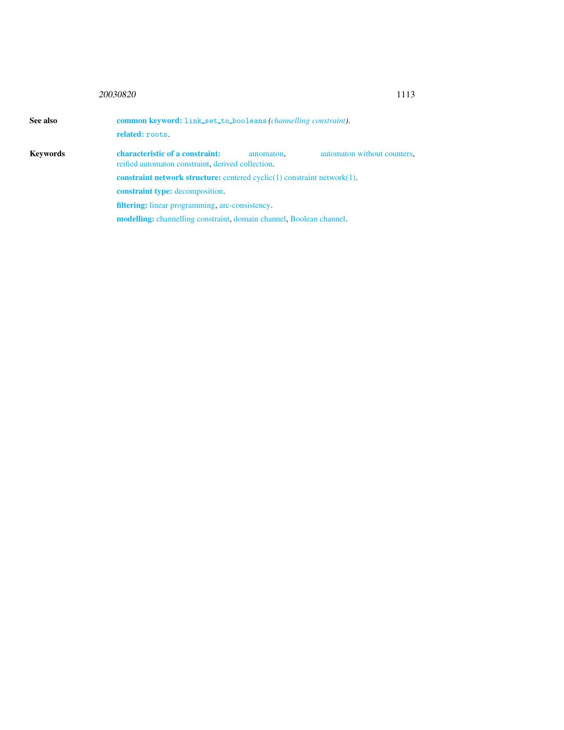## <sup>20030820</sup> 1113

<span id="page-1-0"></span>

| See also | <b>common keyword:</b> link_set_to_booleans (channelling constraint).<br>related: roots. |            |                             |  |  |
|----------|------------------------------------------------------------------------------------------|------------|-----------------------------|--|--|
| Kevwords |                                                                                          |            |                             |  |  |
|          | characteristic of a constraint:<br>reified automaton constraint, derived collection.     | automaton, | automaton without counters. |  |  |
|          | <b>constraint network structure:</b> centered $cyclic(1)$ constraint network $(1)$ .     |            |                             |  |  |
|          | <b>constraint type:</b> decomposition.                                                   |            |                             |  |  |
|          | <b>filtering:</b> linear programming, arc-consistency.                                   |            |                             |  |  |
|          | <b>modelling:</b> channelling constraint, domain channel, Boolean channel.               |            |                             |  |  |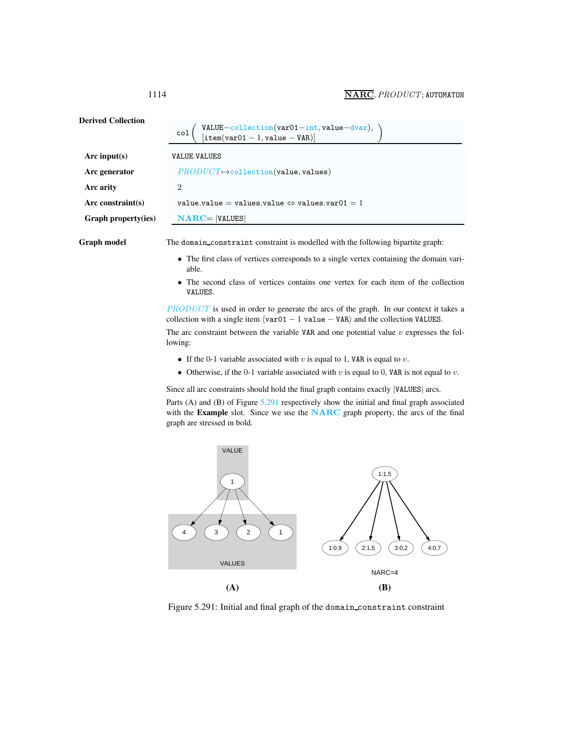<span id="page-2-0"></span>

| <b>Derived Collection</b> | VALUE-collection(var01-int, value-dvar),<br>[item(var01-1, value-VAR)]<br>col                                                                                             |  |  |
|---------------------------|---------------------------------------------------------------------------------------------------------------------------------------------------------------------------|--|--|
| Arc input(s)              | <b>VALUE VALUES</b>                                                                                                                                                       |  |  |
| Arc generator             | $PRODUCT \rightarrow collection(value, values)$                                                                                                                           |  |  |
| Arc arity                 | $\overline{2}$                                                                                                                                                            |  |  |
| Arc constraint $(s)$      | value.value = values.value $\Leftrightarrow$ values.var01 = 1                                                                                                             |  |  |
| Graph property(ies)       | $NARC =  VALUES $                                                                                                                                                         |  |  |
| Graph model               | The domain_constraint constraint is modelled with the following bipartite graph:<br>The first class of vertices corresponds to a single vertex containing the domain vari |  |  |

- The first class of vertices corresponds to a single vertex containing the domain variable.
- The second class of vertices contains one vertex for each item of the collection VALUES.

PRODUCT is used in order to generate the arcs of the graph. In our context it takes a collection with a single item  $\langle \text{var01} - 1 \text{ value} - \text{VAR} \rangle$  and the collection VALUES.

The arc constraint between the variable VAR and one potential value  $v$  expresses the following:

- If the 0-1 variable associated with  $v$  is equal to 1, VAR is equal to  $v$ .
- Otherwise, if the 0-1 variable associated with  $v$  is equal to 0, VAR is not equal to  $v$ .

Since all arc constraints should hold the final graph contains exactly |VALUES| arcs.

Parts (A) and (B) of Figure [5.291](#page-2-1) respectively show the initial and final graph associated with the Example slot. Since we use the NARC graph property, the arcs of the final graph are stressed in bold.



<span id="page-2-1"></span>Figure 5.291: Initial and final graph of the domain constraint constraint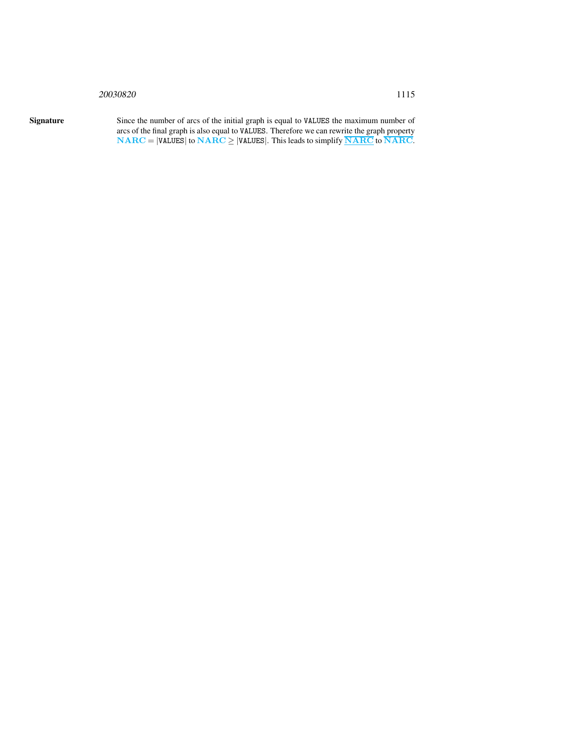## <sup>20030820</sup> 1115

Signature Since the number of arcs of the initial graph is equal to VALUES the maximum number of arcs of the final graph is also equal to VALUES. Therefore we can rewrite the graph property  $NARC = |VALUES|$  to  $NARC \ge |VALUES|$ . This leads to simplify  $\overline{NARC}$  to  $\overline{NARC}$ .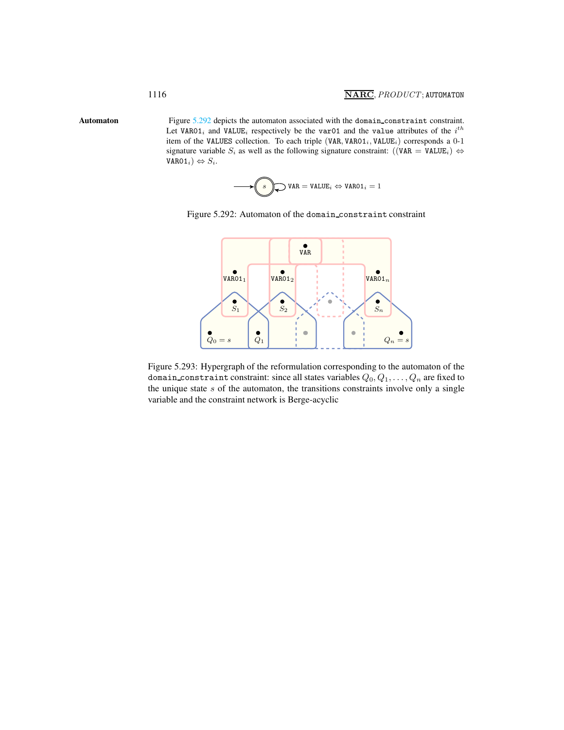Automaton Figure [5.292](#page-4-1) depicts the automaton associated with the domain constraint constraint. Let VAR01<sub>i</sub> and VALUE<sub>i</sub> respectively be the var01 and the value attributes of the i<sup>th</sup> item of the VALUES collection. To each triple (VAR, VAR01<sub>i</sub>, VALUE<sub>i</sub>) corresponds a 0-1 signature variable S<sub>i</sub> as well as the following signature constraint:  $((VAR = VALUE_i) \Leftrightarrow$  $VARO1_i) \Leftrightarrow S_i.$ 

<span id="page-4-1"></span><span id="page-4-0"></span>
$$
\underbrace{\hspace{1cm}}_{\text{$s$}} \bigotimes \hspace{-3.75mm}\mathsf{VAR} = \mathsf{VALUE}_i \Leftrightarrow \mathsf{VARO1}_i = 1
$$





Figure 5.293: Hypergraph of the reformulation corresponding to the automaton of the domain constraint constraint: since all states variables  $Q_0, Q_1, \ldots, Q_n$  are fixed to the unique state  $s$  of the automaton, the transitions constraints involve only a single variable and the constraint network is Berge-acyclic